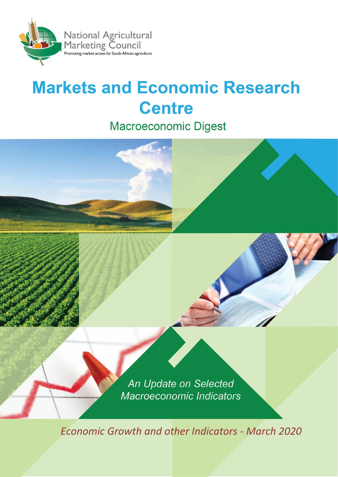

# **Markets and Economic Research Centre**

**Macroeconomic Digest** 



*Economic Growth and other Indicators - March 2020*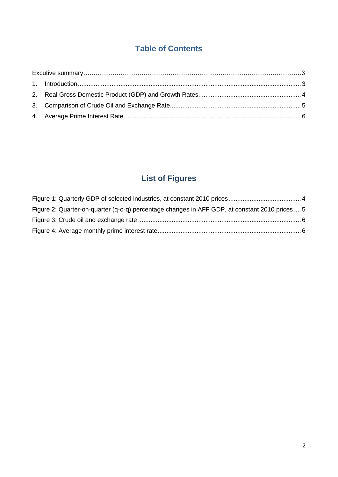# **Table of Contents**

# **List of Figures**

| Figure 2: Quarter-on-quarter (q-o-q) percentage changes in AFF GDP, at constant 2010 prices  5 |  |
|------------------------------------------------------------------------------------------------|--|
|                                                                                                |  |
|                                                                                                |  |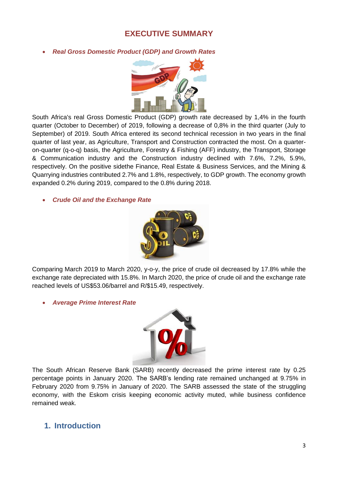### **EXECUTIVE SUMMARY**

#### • *Real Gross Domestic Product (GDP) and Growth Rates*



South Africa's real Gross Domestic Product (GDP) growth rate decreased by 1,4% in the fourth quarter (October to December) of 2019, following a decrease of 0,8% in the third quarter (July to September) of 2019. South Africa entered its second technical recession in two years in the final quarter of last year, as Agriculture, Transport and Construction contracted the most. On a quarteron-quarter (q-o-q) basis, the Agriculture, Forestry & Fishing (AFF) industry, the Transport, Storage & Communication industry and the Construction industry declined with 7.6%, 7.2%, 5.9%, respectively. On the positive sidethe Finance, Real Estate & Business Services, and the Mining & Quarrying industries contributed 2.7% and 1.8%, respectively, to GDP growth. The economy growth expanded 0.2% during 2019, compared to the 0.8% during 2018.

• *Crude Oil and the Exchange Rate*



Comparing March 2019 to March 2020, y-o-y, the price of crude oil decreased by 17.8% while the exchange rate depreciated with 15.8%. In March 2020, the price of crude oil and the exchange rate reached levels of US\$53.06/barrel and R/\$15.49, respectively.

• *Average Prime Interest Rate*



The South African Reserve Bank (SARB) recently decreased the prime interest rate by 0.25 percentage points in January 2020. The SARB's lending rate remained unchanged at 9.75% in February 2020 from 9.75% in January of 2020. The SARB assessed the state of the struggling economy, with the Eskom crisis keeping economic activity muted, while business confidence remained weak.

## <span id="page-2-0"></span>**1. Introduction**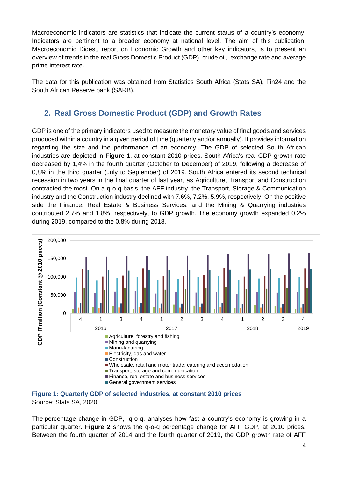Macroeconomic indicators are statistics that indicate the current status of a country's economy. Indicators are pertinent to a broader economy at national level. The aim of this publication, Macroeconomic Digest, report on Economic Growth and other key indicators, is to present an overview of trends in the real Gross Domestic Product (GDP), crude oil, exchange rate and average prime interest rate.

<span id="page-3-0"></span>The data for this publication was obtained from Statistics South Africa (Stats SA), Fin24 and the South African Reserve bank (SARB).

# **2. Real Gross Domestic Product (GDP) and Growth Rates**

GDP is one of the primary [indicators](http://www.investopedia.com/terms/i/indicator.asp) used to measure the monetary value of final goods and services produced within a country in a given period of time (quarterly and/or annually). It provides information regarding the size and the performance of an economy. The GDP of selected South African industries are depicted in **Figure 1**, at constant 2010 prices. South Africa's real GDP growth rate decreased by 1,4% in the fourth quarter (October to December) of 2019, following a decrease of 0,8% in the third quarter (July to September) of 2019. South Africa entered its second technical recession in two years in the final quarter of last year, as Agriculture, Transport and Construction contracted the most. On a q-o-q basis, the AFF industry, the Transport, Storage & Communication industry and the Construction industry declined with 7.6%, 7.2%, 5.9%, respectively. On the positive side the Finance, Real Estate & Business Services, and the Mining & Quarrying industries contributed 2.7% and 1.8%, respectively, to GDP growth. The economy growth expanded 0.2% during 2019, compared to the 0.8% during 2018.



<span id="page-3-1"></span>

The percentage change in GDP, q-o-q, analyses how fast a country's economy is growing in a particular quarter. **Figure 2** shows the q-o-q percentage change for AFF GDP, at 2010 prices. Between the fourth quarter of 2014 and the fourth quarter of 2019, the GDP growth rate of AFF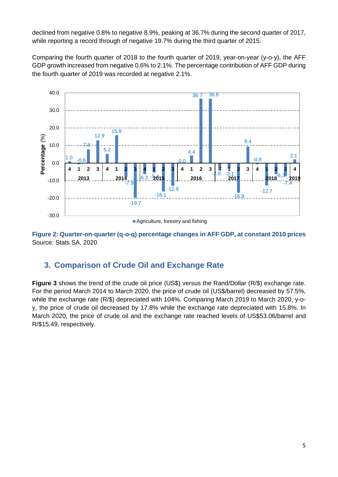declined from negative 0.8% to negative 8.9%, peaking at 36.7% during the second quarter of 2017, while reporting a record through of negative 19.7% during the third quarter of 2015.

Comparing the fourth quarter of 2018 to the fourth quarter of 2019, year-on-year (y-o-y), the AFF GDP growth increased from negative 0.6% to 2.1%. The percentage contribution of AFF GDP during the fourth quarter of 2019 was recorded at negative 2.1%.



<span id="page-4-1"></span><span id="page-4-0"></span>**Figure 2: Quarter-on-quarter (q-o-q) percentage changes in AFF GDP, at constant 2010 prices** Source: Stats SA, 2020

# **3. Comparison of Crude Oil and Exchange Rate**

**Figure 3** shows the trend of the crude oil price (US\$) versus the Rand/Dollar (R/\$) exchange rate. For the period March 2014 to March 2020, the price of crude oil (US\$/barrel) decreased by 57.5%, while the exchange rate (R/\$) depreciated with 104%. Comparing March 2019 to March 2020, y-oy, the price of crude oil decreased by 17.8% while the exchange rate depreciated with 15.8%. In March 2020, the price of crude oil and the exchange rate reached levels of US\$53.06/barrel and R/\$15.49, respectively.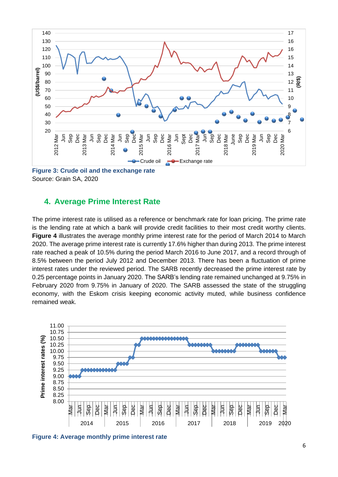

<span id="page-5-1"></span><span id="page-5-0"></span>**Figure 3: Crude oil and the exchange rate**  Source: Grain SA, 2020

#### **4. Average Prime Interest Rate**

The prime interest rate is utilised as a reference or benchmark rate for loan pricing. The prime rate is the lending rate at which a bank will provide credit facilities to their most credit worthy clients. **Figure 4** illustrates the average monthly prime interest rate for the period of March 2014 to March 2020. The average prime interest rate is currently 17.6% higher than during 2013. The prime interest rate reached a peak of 10.5% during the period March 2016 to June 2017, and a record through of 8.5% between the period July 2012 and December 2013. There has been a fluctuation of prime interest rates under the reviewed period. The SARB recently decreased the prime interest rate by 0.25 percentage points in January 2020. The SARB's lending rate remained unchanged at 9.75% in February 2020 from 9.75% in January of 2020. The SARB assessed the state of the struggling economy, with the Eskom crisis keeping economic activity muted, while business confidence remained weak.



<span id="page-5-2"></span>**Figure 4: Average monthly prime interest rate**